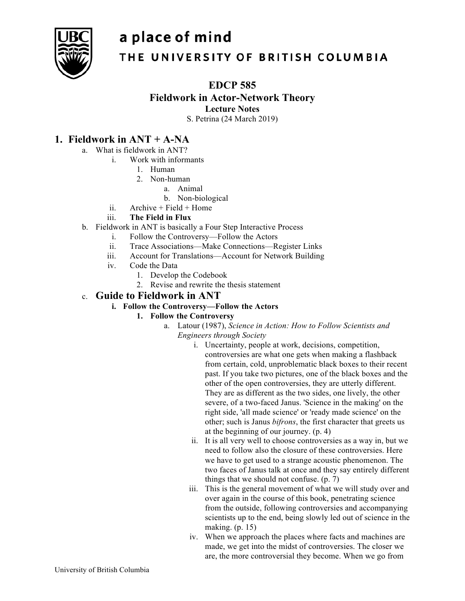# a place of mind



# THE UNIVERSITY OF BRITISH COLUMBIA

## **EDCP 585**

**Fieldwork in Actor-Network Theory**

**Lecture Notes**

S. Petrina (24 March 2019)

# **1. Fieldwork in ANT + A-NA**

- a. What is fieldwork in ANT?
	- i. Work with informants
		- 1. Human
		- 2. Non-human
			- a. Animal
			- b. Non-biological
		- ii. Archive  $+$  Field  $+$  Home

## iii. **The Field in Flux**

- b. Fieldwork in ANT is basically a Four Step Interactive Process
	- i. Follow the Controversy—Follow the Actors
	- ii. Trace Associations—Make Connections—Register Links
	- iii. Account for Translations—Account for Network Building
	- iv. Code the Data
		- 1. Develop the Codebook
		- 2. Revise and rewrite the thesis statement

# c. **Guide to Fieldwork in ANT**

## **i. Follow the Controversy—Follow the Actors**

## **1. Follow the Controversy**

- a. Latour (1987), *Science in Action: How to Follow Scientists and Engineers through Society*
	- i. Uncertainty, people at work, decisions, competition, controversies are what one gets when making a flashback from certain, cold, unproblematic black boxes to their recent past. If you take two pictures, one of the black boxes and the other of the open controversies, they are utterly different. They are as different as the two sides, one lively, the other severe, of a two-faced Janus. 'Science in the making' on the right side, 'all made science' or 'ready made science' on the other; such is Janus *bifrons*, the first character that greets us at the beginning of our journey. (p. 4)
	- ii. It is all very well to choose controversies as a way in, but we need to follow also the closure of these controversies. Here we have to get used to a strange acoustic phenomenon. The two faces of Janus talk at once and they say entirely different things that we should not confuse. (p. 7)
	- iii. This is the general movement of what we will study over and over again in the course of this book, penetrating science from the outside, following controversies and accompanying scientists up to the end, being slowly led out of science in the making. (p. 15)
	- iv. When we approach the places where facts and machines are made, we get into the midst of controversies. The closer we are, the more controversial they become. When we go from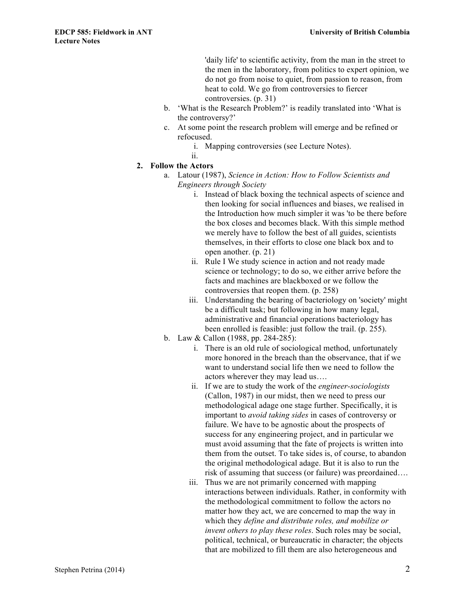'daily life' to scientific activity, from the man in the street to the men in the laboratory, from politics to expert opinion, we do not go from noise to quiet, from passion to reason, from heat to cold. We go from controversies to fiercer controversies. (p. 31)

- b. 'What is the Research Problem?' is readily translated into 'What is the controversy?'
- c. At some point the research problem will emerge and be refined or refocused.
	- i. Mapping controversies (see Lecture Notes).
- ii.
- **2. Follow the Actors**
	- a. Latour (1987), *Science in Action: How to Follow Scientists and Engineers through Society*
		- i. Instead of black boxing the technical aspects of science and then looking for social influences and biases, we realised in the Introduction how much simpler it was 'to be there before the box closes and becomes black. With this simple method we merely have to follow the best of all guides, scientists themselves, in their efforts to close one black box and to open another. (p. 21)
		- ii. Rule I We study science in action and not ready made science or technology; to do so, we either arrive before the facts and machines are blackboxed or we follow the controversies that reopen them. (p. 258)
		- iii. Understanding the bearing of bacteriology on 'society' might be a difficult task; but following in how many legal, administrative and financial operations bacteriology has been enrolled is feasible: just follow the trail. (p. 255).
	- b. Law & Callon (1988, pp. 284-285):
		- i. There is an old rule of sociological method, unfortunately more honored in the breach than the observance, that if we want to understand social life then we need to follow the actors wherever they may lead us….
		- ii. If we are to study the work of the *engineer-sociologists* (Callon, 1987) in our midst, then we need to press our methodological adage one stage further. Specifically, it is important to *avoid taking sides* in cases of controversy or failure. We have to be agnostic about the prospects of success for any engineering project, and in particular we must avoid assuming that the fate of projects is written into them from the outset. To take sides is, of course, to abandon the original methodological adage. But it is also to run the risk of assuming that success (or failure) was preordained….
		- iii. Thus we are not primarily concerned with mapping interactions between individuals. Rather, in conformity with the methodological commitment to follow the actors no matter how they act, we are concerned to map the way in which they *define and distribute roles, and mobilize or invent others to play these roles*. Such roles may be social, political, technical, or bureaucratic in character; the objects that are mobilized to fill them are also heterogeneous and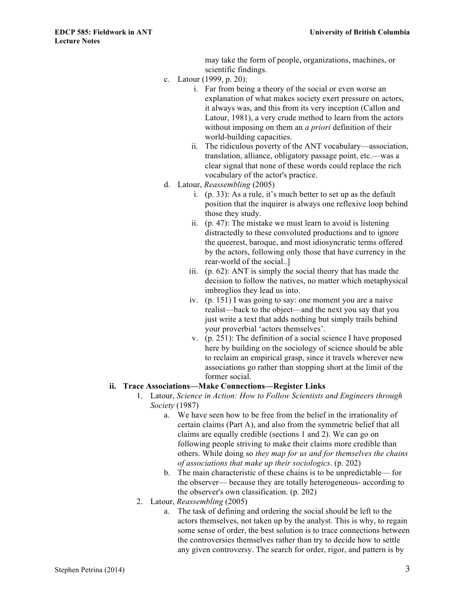may take the form of people, organizations, machines, or scientific findings.

- c. Latour (1999, p. 20):
	- i. Far from being a theory of the social or even worse an explanation of what makes society exert pressure on actors, it always was, and this from its very inception (Callon and Latour, 1981), a very crude method to learn from the actors without imposing on them an *a priori* definition of their world-building capacities.
	- ii. The ridiculous poverty of the ANT vocabulary—association, translation, alliance, obligatory passage point, etc.—was a clear signal that none of these words could replace the rich vocabulary of the actor's practice.
- d. Latour, *Reassembling* (2005)
	- i. (p. 33): As a rule, it's much better to set up as the default position that the inquirer is always one reflexive loop behind those they study.
	- ii. (p. 47): The mistake we must learn to avoid is listening distractedly to these convoluted productions and to ignore the queerest, baroque, and most idiosyncratic terms offered by the actors, following only those that have currency in the rear-world of the social..]
	- iii. (p. 62): ANT is simply the social theory that has made the decision to follow the natives, no matter which metaphysical imbroglios they lead us into.
	- iv. (p. 151) I was going to say: one moment you are a naive realist—back to the object—and the next you say that you just write a text that adds nothing but simply trails behind your proverbial 'actors themselves'.
	- v. (p. 251): The definition of a social science I have proposed here by building on the sociology of science should be able to reclaim an empirical grasp, since it travels wherever new associations go rather than stopping short at the limit of the former social.

#### **ii. Trace Associations—Make Connections—Register Links**

- 1. Latour, *Science in Action: How to Follow Scientists and Engineers through Society* (1987)
	- a. We have seen how to be free from the belief in the irrationality of certain claims (Part A), and also from the symmetric belief that all claims are equally credible (sections 1 and 2). We can go on following people striving to make their claims more credible than others. While doing so *they map for us and for themselves the chains of associations that make up their sociologics*. (p. 202)
	- b. The main characteristic of these chains is to be unpredictable— for the observer— because they are totally heterogeneous- according to the observer's own classification. (p. 202)
- 2. Latour, *Reassembling* (2005)
	- a. The task of defining and ordering the social should be left to the actors themselves, not taken up by the analyst. This is why, to regain some sense of order, the best solution is to trace connections between the controversies themselves rather than try to decide how to settle any given controversy. The search for order, rigor, and pattern is by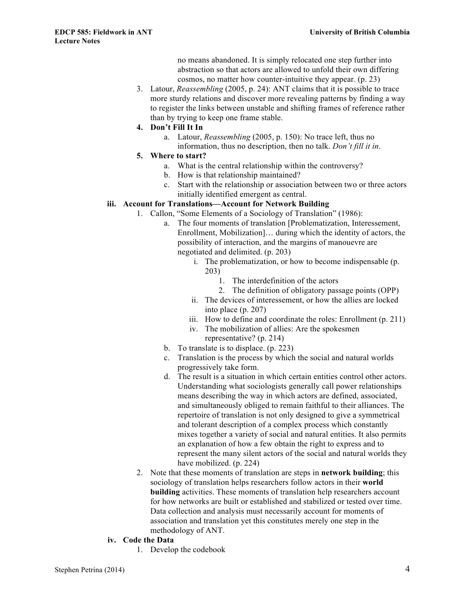no means abandoned. It is simply relocated one step further into abstraction so that actors are allowed to unfold their own differing cosmos, no matter how counter-intuitive they appear. (p. 23)

3. Latour, *Reassembling* (2005, p. 24): ANT claims that it is possible to trace more sturdy relations and discover more revealing patterns by finding a way to register the links between unstable and shifting frames of reference rather than by trying to keep one frame stable.

#### **4. Don't Fill It In**

- a. Latour, *Reassembling* (2005, p. 150): No trace left, thus no information, thus no description, then no talk. *Don't fill it in*.
- **5. Where to start?**
	- a. What is the central relationship within the controversy?
	- b. How is that relationship maintained?
	- c. Start with the relationship or association between two or three actors initially identified emergent as central.

#### **iii. Account for Translations—Account for Network Building**

- 1. Callon, "Some Elements of a Sociology of Translation" (1986):
	- a. The four moments of translation [Problematization, Interessement, Enrollment, Mobilization]… during which the identity of actors, the possibility of interaction, and the margins of manouevre are negotiated and delimited. (p. 203)
		- i. The problematization, or how to become indispensable (p. 203)
			- 1. The interdefinition of the actors
			- 2. The definition of obligatory passage points (OPP)
		- ii. The devices of interessement, or how the allies are locked into place (p. 207)
		- iii. How to define and coordinate the roles: Enrollment (p. 211)
		- iv. The mobilization of allies: Are the spokesmen representative? (p. 214)
	- b. To translate is to displace. (p. 223)
	- c. Translation is the process by which the social and natural worlds progressively take form.
	- d. The result is a situation in which certain entities control other actors. Understanding what sociologists generally call power relationships means describing the way in which actors are defined, associated, and simultaneously obliged to remain faithful to their alliances. The repertoire of translation is not only designed to give a symmetrical and tolerant description of a complex process which constantly mixes together a variety of social and natural entities. It also permits an explanation of how a few obtain the right to express and to represent the many silent actors of the social and natural worlds they have mobilized. (p. 224)
- 2. Note that these moments of translation are steps in **network building**; this sociology of translation helps researchers follow actors in their **world building** activities. These moments of translation help researchers account for how networks are built or established and stabilized or tested over time. Data collection and analysis must necessarily account for moments of association and translation yet this constitutes merely one step in the methodology of ANT.

#### **iv. Code the Data**

1. Develop the codebook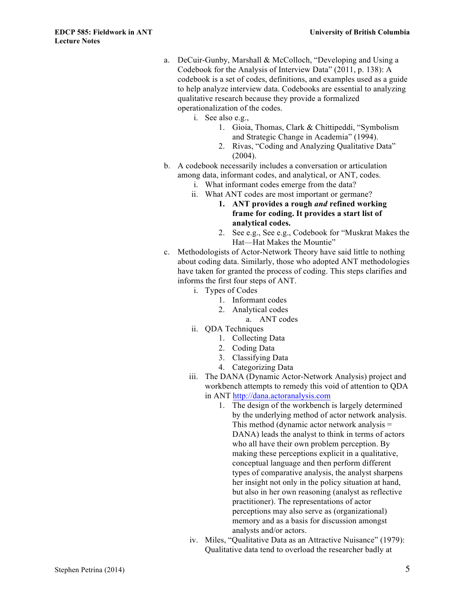- a. DeCuir-Gunby, Marshall & McColloch, "Developing and Using a Codebook for the Analysis of Interview Data" (2011, p. 138): A codebook is a set of codes, definitions, and examples used as a guide to help analyze interview data. Codebooks are essential to analyzing qualitative research because they provide a formalized operationalization of the codes.
	- i. See also e.g.,
		- 1. Gioia, Thomas, Clark & Chittipeddi, "Symbolism and Strategic Change in Academia" (1994).
		- 2. Rivas, "Coding and Analyzing Qualitative Data" (2004).
- b. A codebook necessarily includes a conversation or articulation among data, informant codes, and analytical, or ANT, codes.
	- i. What informant codes emerge from the data?
	- ii. What ANT codes are most important or germane?
		- **1. ANT provides a rough** *and* **refined working frame for coding. It provides a start list of analytical codes.**
		- 2. See e.g., See e.g., Codebook for "Muskrat Makes the Hat—Hat Makes the Mountie"
- c. Methodologists of Actor-Network Theory have said little to nothing about coding data. Similarly, those who adopted ANT methodologies have taken for granted the process of coding. This steps clarifies and informs the first four steps of ANT.
	- i. Types of Codes
		- 1. Informant codes
		- 2. Analytical codes
			- a. ANT codes
	- ii. QDA Techniques
		- 1. Collecting Data
		- 2. Coding Data
		- 3. Classifying Data
		- 4. Categorizing Data
	- iii. The DANA (Dynamic Actor-Network Analysis) project and workbench attempts to remedy this void of attention to QDA in ANT http://dana.actoranalysis.com
		- 1. The design of the workbench is largely determined by the underlying method of actor network analysis. This method (dynamic actor network analysis = DANA) leads the analyst to think in terms of actors who all have their own problem perception. By making these perceptions explicit in a qualitative, conceptual language and then perform different types of comparative analysis, the analyst sharpens her insight not only in the policy situation at hand, but also in her own reasoning (analyst as reflective practitioner). The representations of actor perceptions may also serve as (organizational) memory and as a basis for discussion amongst analysts and/or actors.
	- iv. Miles, "Qualitative Data as an Attractive Nuisance" (1979): Qualitative data tend to overload the researcher badly at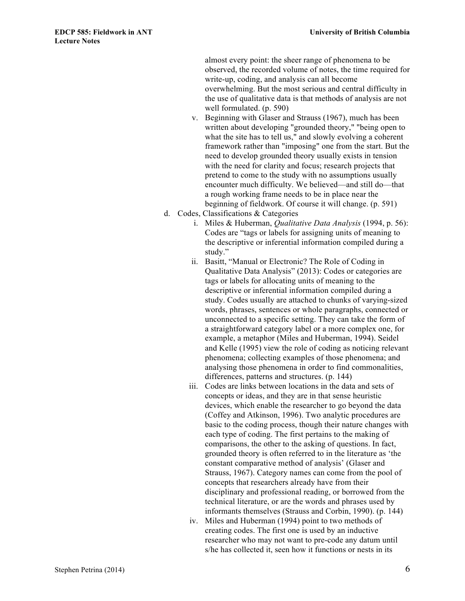almost every point: the sheer range of phenomena to be observed, the recorded volume of notes, the time required for write-up, coding, and analysis can all become overwhelming. But the most serious and central difficulty in the use of qualitative data is that methods of analysis are not well formulated. (p. 590)

- v. Beginning with Glaser and Strauss (1967), much has been written about developing "grounded theory," "being open to what the site has to tell us," and slowly evolving a coherent framework rather than "imposing" one from the start. But the need to develop grounded theory usually exists in tension with the need for clarity and focus; research projects that pretend to come to the study with no assumptions usually encounter much difficulty. We believed—and still do—that a rough working frame needs to be in place near the beginning of fieldwork. Of course it will change. (p. 591)
- d. Codes, Classifications & Categories
	- i. Miles & Huberman, *Qualitative Data Analysis* (1994, p. 56): Codes are "tags or labels for assigning units of meaning to the descriptive or inferential information compiled during a study."
	- ii. Basitt, "Manual or Electronic? The Role of Coding in Qualitative Data Analysis" (2013): Codes or categories are tags or labels for allocating units of meaning to the descriptive or inferential information compiled during a study. Codes usually are attached to chunks of varying-sized words, phrases, sentences or whole paragraphs, connected or unconnected to a specific setting. They can take the form of a straightforward category label or a more complex one, for example, a metaphor (Miles and Huberman, 1994). Seidel and Kelle (1995) view the role of coding as noticing relevant phenomena; collecting examples of those phenomena; and analysing those phenomena in order to find commonalities, differences, patterns and structures. (p. 144)
	- iii. Codes are links between locations in the data and sets of concepts or ideas, and they are in that sense heuristic devices, which enable the researcher to go beyond the data (Coffey and Atkinson, 1996). Two analytic procedures are basic to the coding process, though their nature changes with each type of coding. The first pertains to the making of comparisons, the other to the asking of questions. In fact, grounded theory is often referred to in the literature as 'the constant comparative method of analysis' (Glaser and Strauss, 1967). Category names can come from the pool of concepts that researchers already have from their disciplinary and professional reading, or borrowed from the technical literature, or are the words and phrases used by informants themselves (Strauss and Corbin, 1990). (p. 144)
	- iv. Miles and Huberman (1994) point to two methods of creating codes. The first one is used by an inductive researcher who may not want to pre-code any datum until s/he has collected it, seen how it functions or nests in its